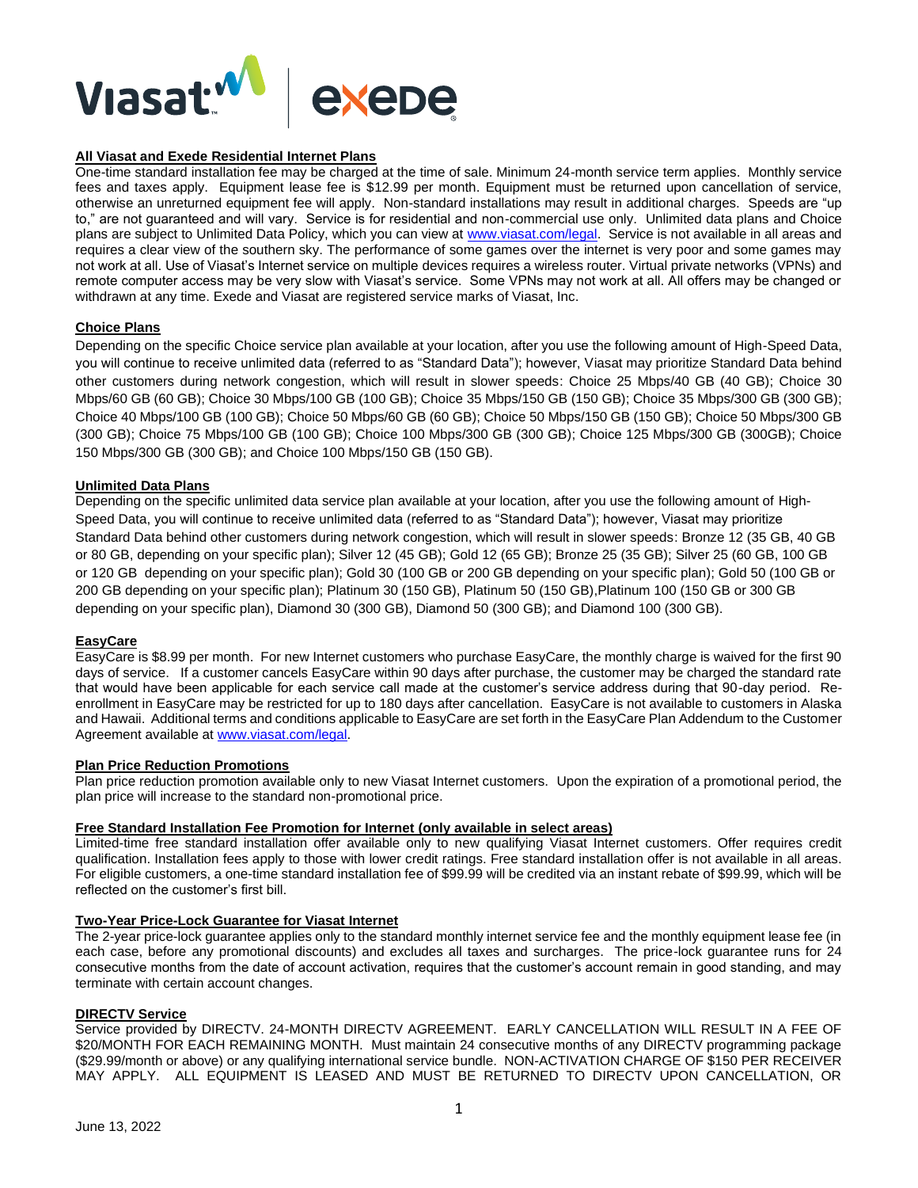

## **All Viasat and Exede Residential Internet Plans**

One-time standard installation fee may be charged at the time of sale. Minimum 24-month service term applies. Monthly service fees and taxes apply. Equipment lease fee is \$12.99 per month. Equipment must be returned upon cancellation of service, otherwise an unreturned equipment fee will apply. Non-standard installations may result in additional charges. Speeds are "up to," are not guaranteed and will vary. Service is for residential and non-commercial use only. Unlimited data plans and Choice plans are subject to Unlimited Data Policy, which you can view at [www.viasat.com/legal.](http://www.viasat.com/legal) Service is not available in all areas and requires a clear view of the southern sky. The performance of some games over the internet is very poor and some games may not work at all. Use of Viasat's Internet service on multiple devices requires a wireless router. Virtual private networks (VPNs) and remote computer access may be very slow with Viasat's service. Some VPNs may not work at all. All offers may be changed or withdrawn at any time. Exede and Viasat are registered service marks of Viasat, Inc.

### **Choice Plans**

Depending on the specific Choice service plan available at your location, after you use the following amount of High-Speed Data, you will continue to receive unlimited data (referred to as "Standard Data"); however, Viasat may prioritize Standard Data behind other customers during network congestion, which will result in slower speeds: Choice 25 Mbps/40 GB (40 GB); Choice 30 Mbps/60 GB (60 GB); Choice 30 Mbps/100 GB (100 GB); Choice 35 Mbps/150 GB (150 GB); Choice 35 Mbps/300 GB (300 GB); Choice 40 Mbps/100 GB (100 GB); Choice 50 Mbps/60 GB (60 GB); Choice 50 Mbps/150 GB (150 GB); Choice 50 Mbps/300 GB (300 GB); Choice 75 Mbps/100 GB (100 GB); Choice 100 Mbps/300 GB (300 GB); Choice 125 Mbps/300 GB (300GB); Choice 150 Mbps/300 GB (300 GB); and Choice 100 Mbps/150 GB (150 GB).

### **Unlimited Data Plans**

Depending on the specific unlimited data service plan available at your location, after you use the following amount of High-Speed Data, you will continue to receive unlimited data (referred to as "Standard Data"); however, Viasat may prioritize Standard Data behind other customers during network congestion, which will result in slower speeds: Bronze 12 (35 GB, 40 GB or 80 GB, depending on your specific plan); Silver 12 (45 GB); Gold 12 (65 GB); Bronze 25 (35 GB); Silver 25 (60 GB, 100 GB or 120 GB depending on your specific plan); Gold 30 (100 GB or 200 GB depending on your specific plan); Gold 50 (100 GB or 200 GB depending on your specific plan); Platinum 30 (150 GB), Platinum 50 (150 GB),Platinum 100 (150 GB or 300 GB depending on your specific plan), Diamond 30 (300 GB), Diamond 50 (300 GB); and Diamond 100 (300 GB).

#### **EasyCare**

EasyCare is \$8.99 per month. For new Internet customers who purchase EasyCare, the monthly charge is waived for the first 90 days of service. If a customer cancels EasyCare within 90 days after purchase, the customer may be charged the standard rate that would have been applicable for each service call made at the customer's service address during that 90-day period. Reenrollment in EasyCare may be restricted for up to 180 days after cancellation. EasyCare is not available to customers in Alaska and Hawaii. Additional terms and conditions applicable to EasyCare are set forth in the EasyCare Plan Addendum to the Customer Agreement available at [www.viasat.com/legal.](http://www.exede.com/legal)

# **Plan Price Reduction Promotions**

Plan price reduction promotion available only to new Viasat Internet customers. Upon the expiration of a promotional period, the plan price will increase to the standard non-promotional price.

#### **Free Standard Installation Fee Promotion for Internet (only available in select areas)**

Limited-time free standard installation offer available only to new qualifying Viasat Internet customers. Offer requires credit qualification. Installation fees apply to those with lower credit ratings. Free standard installation offer is not available in all areas. For eligible customers, a one-time standard installation fee of \$99.99 will be credited via an instant rebate of \$99.99, which will be reflected on the customer's first bill.

### **Two-Year Price-Lock Guarantee for Viasat Internet**

The 2-year price-lock guarantee applies only to the standard monthly internet service fee and the monthly equipment lease fee (in each case, before any promotional discounts) and excludes all taxes and surcharges. The price-lock guarantee runs for 24 consecutive months from the date of account activation, requires that the customer's account remain in good standing, and may terminate with certain account changes.

#### **DIRECTV Service**

Service provided by DIRECTV. 24-MONTH DIRECTV AGREEMENT. EARLY CANCELLATION WILL RESULT IN A FEE OF \$20/MONTH FOR EACH REMAINING MONTH. Must maintain 24 consecutive months of any DIRECTV programming package (\$29.99/month or above) or any qualifying international service bundle. NON-ACTIVATION CHARGE OF \$150 PER RECEIVER MAY APPLY. ALL EQUIPMENT IS LEASED AND MUST BE RETURNED TO DIRECTV UPON CANCELLATION, OR